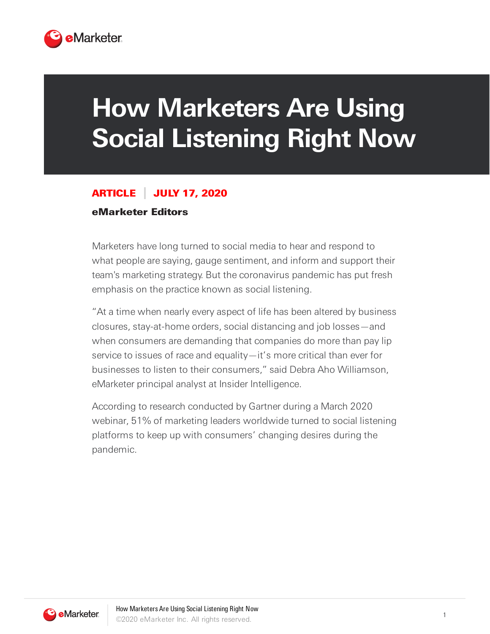

## **How Marketers Are Using Social Listening Right Now**

## ARTICLE JULY 17, 2020

## eMarketer Editors

Marketers have long turned to social media to hear and respond to what people are saying, gauge sentiment, and inform and support their team's marketing strategy. But the coronavirus pandemic has put fresh emphasis on the practice known as social listening.

"At a time when nearly every aspect of life has been altered by business closures, stay-at-home orders, social distancing and job losses—and when consumers are demanding that companies do more than pay lip service to issues of race and equality—it's more critical than ever for businesses to listen to their consumers," said Debra Aho Williamson, eMarketer principal analyst at Insider Intelligence.

According to research conducted by Gartner during a March 2020 webinar, 51% of marketing leaders worldwide turned to social listening platforms to keep up with consumers' changing desires during the pandemic.

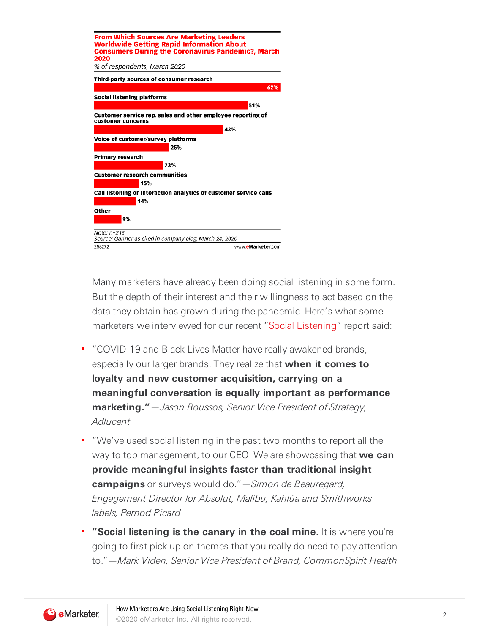| <b>From Which Sources Are Marketing Leaders</b><br><b>Worldwide Getting Rapid Information About</b><br><b>Consumers During the Coronavirus Pandemic?, March</b><br>2020 |
|-------------------------------------------------------------------------------------------------------------------------------------------------------------------------|
| % of respondents, March 2020                                                                                                                                            |
| Third-party sources of consumer research                                                                                                                                |
| 62%                                                                                                                                                                     |
| Social listening platforms                                                                                                                                              |
| 51%                                                                                                                                                                     |
| Customer service rep, sales and other employee reporting of<br>customer concerns                                                                                        |
| 43%                                                                                                                                                                     |
| Voice of customer/survey platforms                                                                                                                                      |
| 25%                                                                                                                                                                     |
| <b>Primary research</b>                                                                                                                                                 |
| 23%                                                                                                                                                                     |
| <b>Customer research communities</b>                                                                                                                                    |
| 15%                                                                                                                                                                     |
| Call listening or interaction analytics of customer service calls<br>14%                                                                                                |
| Other                                                                                                                                                                   |
| 9%                                                                                                                                                                      |
| Note: $n=215$<br>Source: Gartner as cited in company blog, March 24, 2020                                                                                               |
| 256272<br>www.eMarketer.com                                                                                                                                             |

Many marketers have already been doing social listening in some form. But the depth of their interest and their willingness to act based on the data they obtain has grown during the pandemic. Here's what some marketers we interviewed for our recent "Social Listening" report said:

- " "COVID-19 and Black Lives Matter have really awakened brands, especially our larger brands. They realize that **when it comes to loyalty and new customer acquisition, carrying on a meaningful conversation is equally important as performance marketing."**—Jason Roussos, Senior Vice President of Strategy, **Adlucent**
- " "We've used social listening in the past two months to report all the way to top management, to our CEO. We are showcasing that **we can provide meaningful insights faster than traditional insight campaigns** or surveys would do."—Simon de Beauregard, Engagement Director for Absolut, Malibu, Kahlúa and Smithworks labels, Pernod Ricard
- **"Social listening is the canary in the coal mine.** It is where you're going to first pick up on themes that you really do need to pay attention to."—Mark Viden, Senior Vice President of Brand, CommonSpirit Health